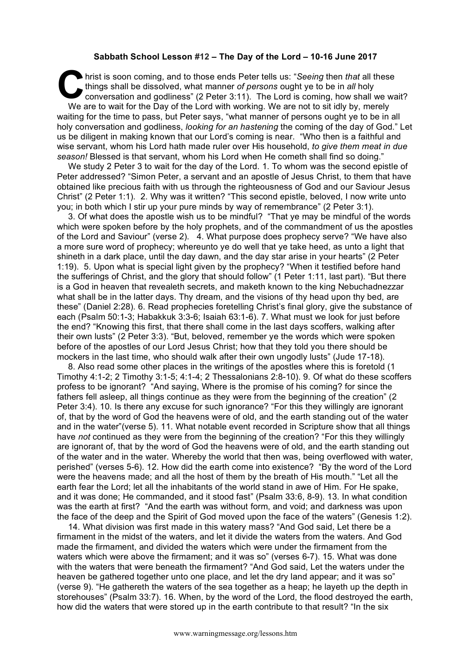## **Sabbath School Lesson #12 – The Day of the Lord – 10-16 June 2017**

hrist is soon coming, and to those ends Peter tells us: "*Seeing* then *that* all these things shall be dissolved, what manner of persons ought ye to be in all holy conversation and godliness" (2 Peter 3:11). The Lord is c things shall be dissolved, what manner *of persons* ought ye to be in *all* holy conversation and godliness" (2 Peter 3:11). The Lord is coming, how shall we wait? We are to wait for the Day of the Lord with working. We are not to sit idly by, merely waiting for the time to pass, but Peter says, "what manner of persons ought ye to be in all holy conversation and godliness, *looking for an hastening* the coming of the day of God." Let us be diligent in making known that our Lord's coming is near. "Who then is a faithful and wise servant, whom his Lord hath made ruler over His household, *to give them meat in due season!* Blessed is that servant, whom his Lord when He cometh shall find so doing."

We study 2 Peter 3 to wait for the day of the Lord. 1. To whom was the second epistle of Peter addressed? "Simon Peter, a servant and an apostle of Jesus Christ, to them that have obtained like precious faith with us through the righteousness of God and our Saviour Jesus Christ" (2 Peter 1:1). 2. Why was it written? "This second epistle, beloved, I now write unto you; in both which I stir up your pure minds by way of remembrance" (2 Peter 3:1).

3. Of what does the apostle wish us to be mindful? "That ye may be mindful of the words which were spoken before by the holy prophets, and of the commandment of us the apostles of the Lord and Saviour" (verse 2). 4. What purpose does prophecy serve? "We have also a more sure word of prophecy; whereunto ye do well that ye take heed, as unto a light that shineth in a dark place, until the day dawn, and the day star arise in your hearts" (2 Peter 1:19). 5. Upon what is special light given by the prophecy? "When it testified before hand the sufferings of Christ, and the glory that should follow" (1 Peter 1:11, last part). "But there is a God in heaven that revealeth secrets, and maketh known to the king Nebuchadnezzar what shall be in the latter days. Thy dream, and the visions of thy head upon thy bed, are these" (Daniel 2:28). 6. Read prophecies foretelling Christ's final glory, give the substance of each (Psalm 50:1-3; Habakkuk 3:3-6; Isaiah 63:1-6). 7. What must we look for just before the end? "Knowing this first, that there shall come in the last days scoffers, walking after their own lusts" (2 Peter 3:3). "But, beloved, remember ye the words which were spoken before of the apostles of our Lord Jesus Christ; how that they told you there should be mockers in the last time, who should walk after their own ungodly lusts" (Jude 17-18).

8. Also read some other places in the writings of the apostles where this is foretold (1 Timothy 4:1-2; 2 Timothy 3:1-5; 4:1-4; 2 Thessalonians 2:8-10). 9. Of what do these scoffers profess to be ignorant? "And saying, Where is the promise of his coming? for since the fathers fell asleep, all things continue as they were from the beginning of the creation" (2 Peter 3:4). 10. Is there any excuse for such ignorance? "For this they willingly are ignorant of, that by the word of God the heavens were of old, and the earth standing out of the water and in the water"(verse 5). 11. What notable event recorded in Scripture show that all things have *not* continued as they were from the beginning of the creation? "For this they willingly are ignorant of, that by the word of God the heavens were of old, and the earth standing out of the water and in the water. Whereby the world that then was, being overflowed with water, perished" (verses 5-6). 12. How did the earth come into existence? "By the word of the Lord were the heavens made; and all the host of them by the breath of His mouth." "Let all the earth fear the Lord; let all the inhabitants of the world stand in awe of Him. For He spake, and it was done; He commanded, and it stood fast" (Psalm 33:6, 8-9). 13. In what condition was the earth at first? "And the earth was without form, and void; and darkness was upon the face of the deep and the Spirit of God moved upon the face of the waters" (Genesis 1:2).

14. What division was first made in this watery mass? "And God said, Let there be a firmament in the midst of the waters, and let it divide the waters from the waters. And God made the firmament, and divided the waters which were under the firmament from the waters which were above the firmament; and it was so" (verses 6-7). 15. What was done with the waters that were beneath the firmament? "And God said, Let the waters under the heaven be gathered together unto one place, and let the dry land appear; and it was so" (verse 9). "He gathereth the waters of the sea together as a heap; he layeth up the depth in storehouses" (Psalm 33:7). 16. When, by the word of the Lord, the flood destroyed the earth, how did the waters that were stored up in the earth contribute to that result? "In the six